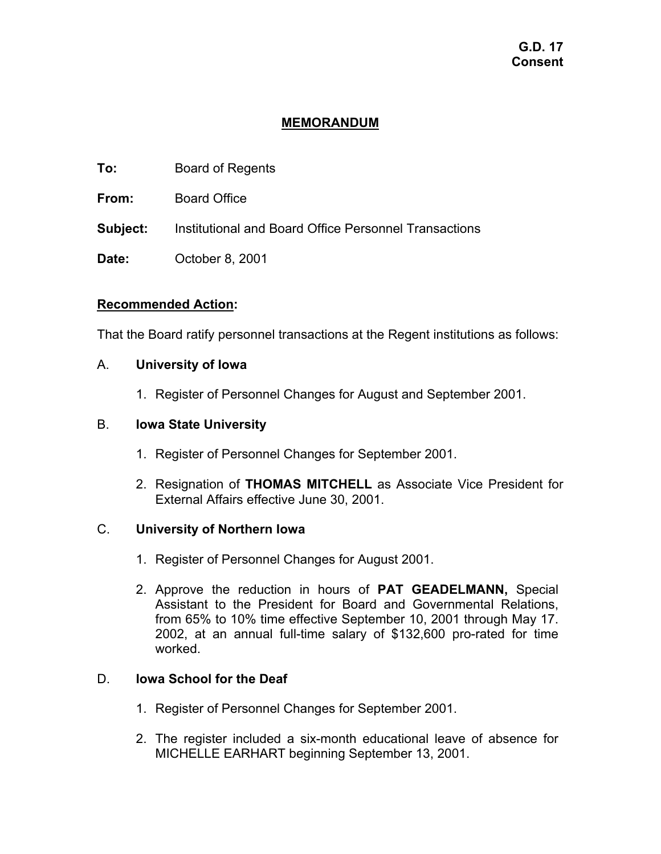# **G.D. 17 Consent**

# **MEMORANDUM**

- **To:** Board of Regents
- **From:** Board Office
- **Subject:** Institutional and Board Office Personnel Transactions
- **Date:** October 8, 2001

## **Recommended Action:**

That the Board ratify personnel transactions at the Regent institutions as follows:

## A. **University of Iowa**

1. Register of Personnel Changes for August and September 2001.

## B. **Iowa State University**

- 1. Register of Personnel Changes for September 2001.
- 2. Resignation of **THOMAS MITCHELL** as Associate Vice President for External Affairs effective June 30, 2001.

## C. **University of Northern Iowa**

- 1. Register of Personnel Changes for August 2001.
- 2. Approve the reduction in hours of **PAT GEADELMANN,** Special Assistant to the President for Board and Governmental Relations, from 65% to 10% time effective September 10, 2001 through May 17. 2002, at an annual full-time salary of \$132,600 pro-rated for time worked.

## D. **Iowa School for the Deaf**

- 1. Register of Personnel Changes for September 2001.
- 2. The register included a six-month educational leave of absence for MICHELLE EARHART beginning September 13, 2001.